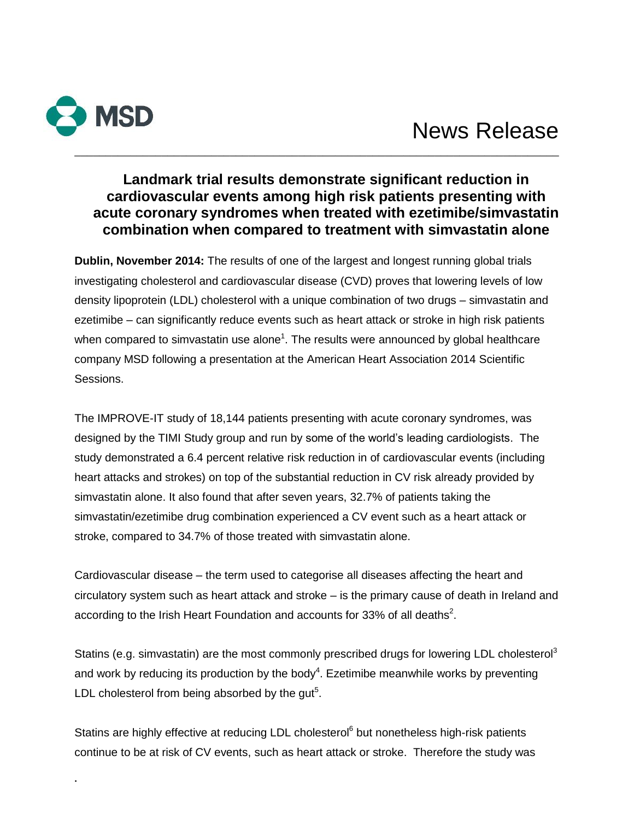

**.**

# News Release

## **Landmark trial results demonstrate significant reduction in cardiovascular events among high risk patients presenting with acute coronary syndromes when treated with ezetimibe/simvastatin combination when compared to treatment with simvastatin alone**

\_\_\_\_\_\_\_\_\_\_\_\_\_\_\_\_\_\_\_\_\_\_\_\_\_\_\_\_\_\_\_\_\_\_\_\_\_\_\_\_\_\_\_\_\_\_\_\_\_\_\_\_\_\_\_\_\_\_\_\_\_\_\_\_\_\_\_\_\_\_\_\_\_\_\_\_\_\_

**Dublin, November 2014:** The results of one of the largest and longest running global trials investigating cholesterol and cardiovascular disease (CVD) proves that lowering levels of low density lipoprotein (LDL) cholesterol with a unique combination of two drugs – simvastatin and ezetimibe – can significantly reduce events such as heart attack or stroke in high risk patients when compared to simvastatin use alone<sup>1</sup>. The results were announced by global healthcare company MSD following a presentation at the American Heart Association 2014 Scientific Sessions.

The IMPROVE-IT study of 18,144 patients presenting with acute coronary syndromes, was designed by the TIMI Study group and run by some of the world's leading cardiologists. The study demonstrated a 6.4 percent relative risk reduction in of cardiovascular events (including heart attacks and strokes) on top of the substantial reduction in CV risk already provided by simvastatin alone. It also found that after seven years, 32.7% of patients taking the simvastatin/ezetimibe drug combination experienced a CV event such as a heart attack or stroke, compared to 34.7% of those treated with simvastatin alone.

Cardiovascular disease – the term used to categorise all diseases affecting the heart and circulatory system such as heart attack and stroke – is the primary cause of death in Ireland and according to the Irish Heart Foundation and accounts for 33% of all deaths<sup>2</sup>.

Statins (e.g. simvastatin) are the most commonly prescribed drugs for lowering LDL cholesterol<sup>3</sup> and work by reducing its production by the body<sup>4</sup>. Ezetimibe meanwhile works by preventing LDL cholesterol from being absorbed by the gut $5$ .

Statins are highly effective at reducing LDL cholesterol<sup>6</sup> but nonetheless high-risk patients continue to be at risk of CV events, such as heart attack or stroke. Therefore the study was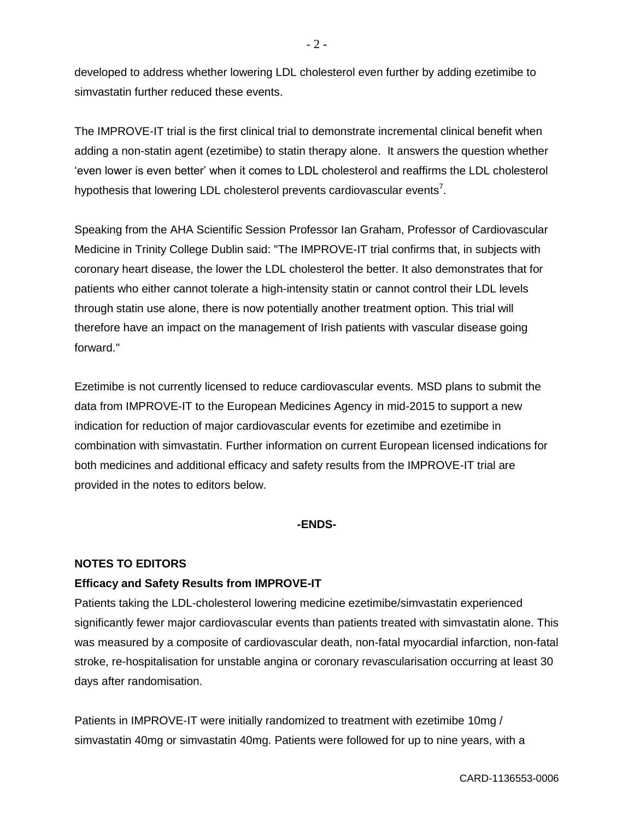developed to address whether lowering LDL cholesterol even further by adding ezetimibe to simvastatin further reduced these events.

The IMPROVE-IT trial is the first clinical trial to demonstrate incremental clinical benefit when adding a non-statin agent (ezetimibe) to statin therapy alone. It answers the question whether 'even lower is even better' when it comes to LDL cholesterol and reaffirms the LDL cholesterol hypothesis that lowering LDL cholesterol prevents cardiovascular events<sup>7</sup>.

Speaking from the AHA Scientific Session Professor Ian Graham, Professor of Cardiovascular Medicine in Trinity College Dublin said: "The IMPROVE-IT trial confirms that, in subjects with coronary heart disease, the lower the LDL cholesterol the better. It also demonstrates that for patients who either cannot tolerate a high-intensity statin or cannot control their LDL levels through statin use alone, there is now potentially another treatment option. This trial will therefore have an impact on the management of Irish patients with vascular disease going forward."

Ezetimibe is not currently licensed to reduce cardiovascular events. MSD plans to submit the data from IMPROVE-IT to the European Medicines Agency in mid-2015 to support a new indication for reduction of major cardiovascular events for ezetimibe and ezetimibe in combination with simvastatin. Further information on current European licensed indications for both medicines and additional efficacy and safety results from the IMPROVE-IT trial are provided in the notes to editors below.

### **-ENDS-**

### **NOTES TO EDITORS**

### **Efficacy and Safety Results from IMPROVE-IT**

Patients taking the LDL-cholesterol lowering medicine ezetimibe/simvastatin experienced significantly fewer major cardiovascular events than patients treated with simvastatin alone. This was measured by a composite of cardiovascular death, non-fatal myocardial infarction, non-fatal stroke, re-hospitalisation for unstable angina or coronary revascularisation occurring at least 30 days after randomisation.

Patients in IMPROVE-IT were initially randomized to treatment with ezetimibe 10mg / simvastatin 40mg or simvastatin 40mg. Patients were followed for up to nine years, with a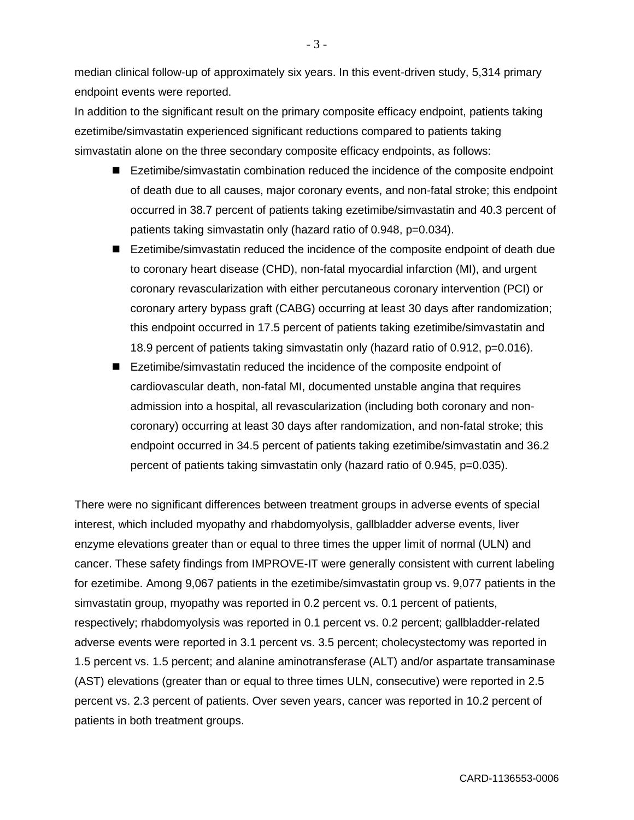median clinical follow-up of approximately six years. In this event-driven study, 5,314 primary endpoint events were reported.

In addition to the significant result on the primary composite efficacy endpoint, patients taking ezetimibe/simvastatin experienced significant reductions compared to patients taking simvastatin alone on the three secondary composite efficacy endpoints, as follows:

- Ezetimibe/simvastatin combination reduced the incidence of the composite endpoint of death due to all causes, major coronary events, and non-fatal stroke; this endpoint occurred in 38.7 percent of patients taking ezetimibe/simvastatin and 40.3 percent of patients taking simvastatin only (hazard ratio of 0.948, p=0.034).
- Ezetimibe/simvastatin reduced the incidence of the composite endpoint of death due to coronary heart disease (CHD), non-fatal myocardial infarction (MI), and urgent coronary revascularization with either percutaneous coronary intervention (PCI) or coronary artery bypass graft (CABG) occurring at least 30 days after randomization; this endpoint occurred in 17.5 percent of patients taking ezetimibe/simvastatin and 18.9 percent of patients taking simvastatin only (hazard ratio of 0.912, p=0.016).
- Ezetimibe/simvastatin reduced the incidence of the composite endpoint of cardiovascular death, non-fatal MI, documented unstable angina that requires admission into a hospital, all revascularization (including both coronary and noncoronary) occurring at least 30 days after randomization, and non-fatal stroke; this endpoint occurred in 34.5 percent of patients taking ezetimibe/simvastatin and 36.2 percent of patients taking simvastatin only (hazard ratio of 0.945, p=0.035).

There were no significant differences between treatment groups in adverse events of special interest, which included myopathy and rhabdomyolysis, gallbladder adverse events, liver enzyme elevations greater than or equal to three times the upper limit of normal (ULN) and cancer. These safety findings from IMPROVE-IT were generally consistent with current labeling for ezetimibe. Among 9,067 patients in the ezetimibe/simvastatin group vs. 9,077 patients in the simvastatin group, myopathy was reported in 0.2 percent vs. 0.1 percent of patients, respectively; rhabdomyolysis was reported in 0.1 percent vs. 0.2 percent; gallbladder-related adverse events were reported in 3.1 percent vs. 3.5 percent; cholecystectomy was reported in 1.5 percent vs. 1.5 percent; and alanine aminotransferase (ALT) and/or aspartate transaminase (AST) elevations (greater than or equal to three times ULN, consecutive) were reported in 2.5 percent vs. 2.3 percent of patients. Over seven years, cancer was reported in 10.2 percent of patients in both treatment groups.